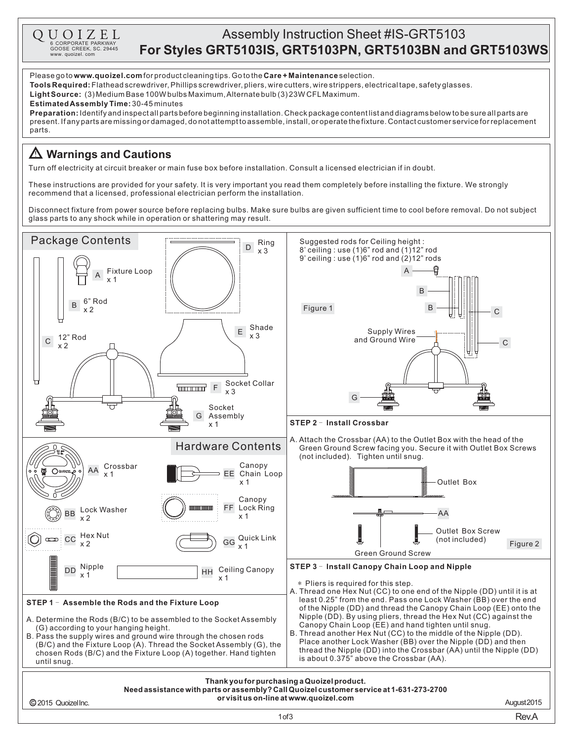| UOIZEL<br>6 CORPORATE PARKWAY               | <b>Assembly Instruction Sheet #IS-GRT5103</b>            |
|---------------------------------------------|----------------------------------------------------------|
| GOOSE CREEK, SC. 29445<br>www. quoizel. com | For Styles GRT5103IS, GRT5103PN, GRT5103BN and GRT5103WS |

Please go to **www.quoizel.com** for product cleaning tips. Go to the **Care + Maintenance** selection.

**Tools Required:** Flathead screwdriver, Phillips screwdriver, pliers, wire cutters, wire strippers, electrical tape, safety glasses.

Light Source: (3) Medium Base 100W bulbs Maximum, Alternate bulb (3) 23W CFL Maximum.

**Estimated Assembly Time:** 30-45 minutes

Q.

**Preparation:** Identify and inspectall parts before beginning installation. Check package content list and diagrams below to be sure all parts are present.Ifanypartsaremissingordamaged,donotattempttoassemble,install,oroperatethefixture.Contactcustomerserviceforreplacement parts.

## **Warnings and Cautions**

Turn off electricity at circuit breaker or main fuse box before installation. Consult a licensed electrician if in doubt.

These instructions are provided for your safety. It is very important you read them completely before installing the fixture. We strongly recommend that a licensed, professional electrician perform the installation.

Disconnect fixture from power source before replacing bulbs. Make sure bulbs are given sufficient time to cool before removal. Do not subject glass parts to any shock while in operation or shattering may result.

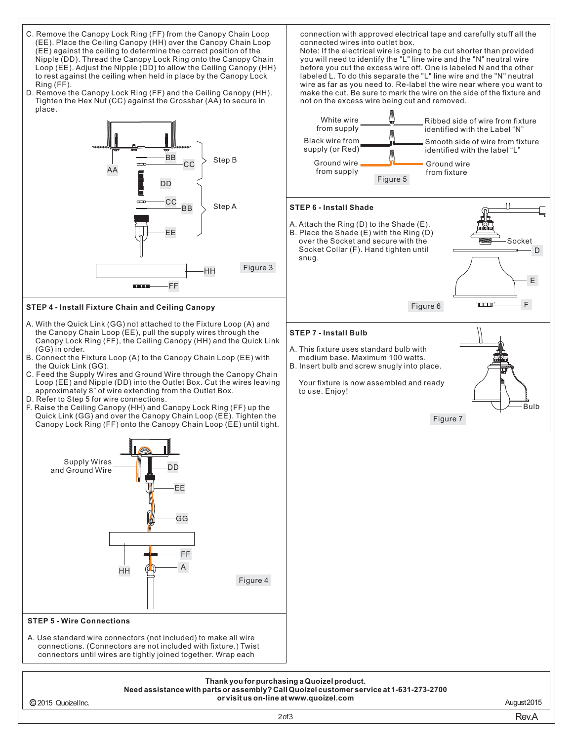